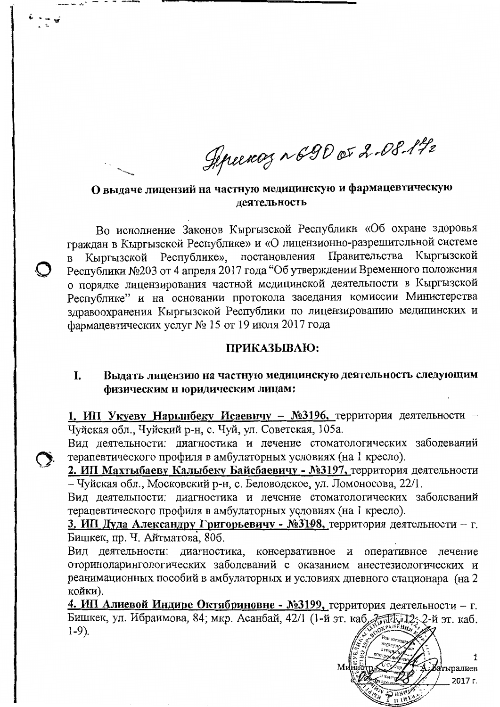Sipeency ~690 or 2-08-142

О выдаче лицензий на частную медицинскую и фармацевтическую деятельность

Во исполнение Законов Кыргызской Республики «Об охране здоровья граждан в Кыргызской Республике» и «О лицензионно-разрешительной системе Кыргызской Республике», постановления Правительства Кыргызской Республики №203 от 4 апреля 2017 года "Об утверждении Временного положения о порядке лицензирования частной медицинской деятельности в Кыргызской Республике" и на основании протокола заседания комиссии Министерства здравоохранения Кыргызской Республики по лицензированию медицинских и фармацевтических услуг № 15 от 19 июля 2017 года

## ПРИКАЗЫВАЮ:

## I. Выдать лицензию на частную медицинскую деятельность следующим физическим и юридическим лицам:

1. ИП Укуеву Нарынбеку Исаевичу - №3196, территория деятельности -Чуйская обл., Чуйский р-н, с. Чуй, ул. Советская, 105а.

Вид деятельности: диагностика и лечение стоматологических заболеваний терапевтического профиля в амбулаторных условиях (на 1 кресло).

2. ИП Махтыбаеву Калыбеку Байсбаевичу - №3197, территория деятельности - Чуйская обл., Московский р-н, с. Беловодское, ул. Ломоносова, 22/1.

Вид деятельности: диагностика и лечение стоматологических заболеваний терапевтического профиля в амбулаторных условиях (на 1 кресло).

3. ИП Дуда Александру Григорьевичу - №3198, территория деятельности - г. Бишкек, пр. Ч. Айтматова, 80б.

Вид деятельности: диагностика, консервативное и оперативное лечение оториноларингологических заболеваний с оказанием анестезиологических и реанимационных пособий в амбулаторных и условиях дневного стационара (на 2 койки).

4. ИП Алиевой Индире Октябриновне - №3199, территория деятельности - г. Бишкек, ул. Ибраимова, 84; мкр. Асанбай, 42/1 (1-й эт. каб, Динации); 2-й эт. каб.  $1-9$ ).

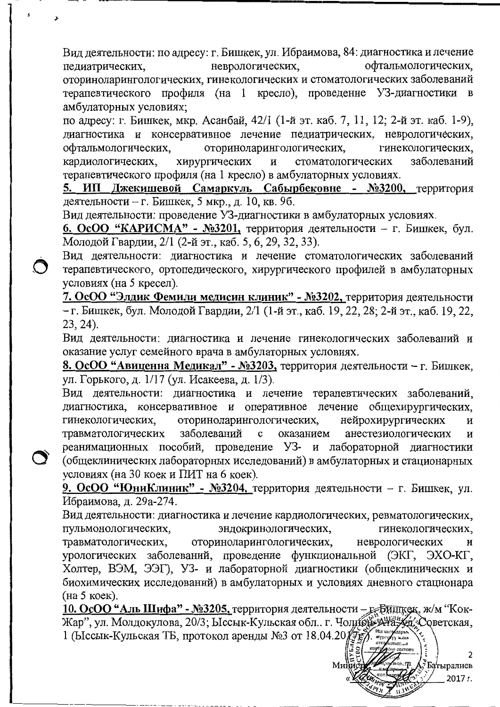Вид деятельности: по адресу: г. Бишкек, ул. Ибраимова, 84: диагностика и лечение неврологических. офтальмологических. педиатрических, оториноларингологических, гинекологических и стоматологических заболеваний терапевтического профиля (на 1 кресло), проведение УЗ-диагностики в амбулаторных условиях;

по адресу: г. Бишкек, мкр. Асанбай, 42/1 (1-й эт. каб. 7, 11, 12; 2-й эт. каб. 1-9), диагностика и консервативное лечение педиатрических, неврологических, гинекологических. офтальмологических. оториноларингологических, кардиологических, хирургических стоматологических заболеваний  $\mathbf{H}$ терапевтического профиля (на 1 кресло) в амбулаторных условиях.

5. ИП Джекишевой Самаркуль Сабырбековне - №3200, территория деятельности - г. Бишкек, 5 мкр., д. 10, кв. 9б.

Вид деятельности: проведение УЗ-диагностики в амбулаторных условиях.

 $\bigcirc$ 

6. ОсОО "КАРИСМА" - №3201, территория деятельности – г. Бишкек, бул. Молодой Гвардии, 2/1 (2-й эт., каб. 5, 6, 29, 32, 33).

Вид деятельности: диагностика и лечение стоматологических заболеваний терапевтического, ортопедического, хирургического профилей в амбулаторных условиях (на 5 кресел).

7. ОсОО "Элдик Фемили медисин клиник" - №3202, территория деятельности - г. Бишкек, бул. Молодой Гвардии, 2/1 (1-й эт., каб. 19, 22, 28; 2-й эт., каб. 19, 22,  $23, 24$ ).

Вид деятельности: диагностика и лечение гинекологических заболеваний и оказание услуг семейного врача в амбулаторных условиях.

8. ОсОО "Авиценна Медикал" - №3203, территория деятельности – г. Бишкек, ул. Горького, д. 1/17 (ул. Исакеева, д. 1/3).

Вид деятельности: диагностика и лечение терапевтических заболеваний, диагностика, консервативное и оперативное лечение общехирургических, гинекологических, оториноларингологических, нейрохирургических И заболеваний анестезиологических травматологических  $\mathbf c$ оказанием  $\mathbf{M}$ реанимационных пособий, проведение УЗ- и лабораторной диагностики (общеклинических лабораторных исследований) в амбулаторных и стационарных условиях (на 30 коек и ПИТ на 6 коек).

9. ОсОО "ЮниКлиник" - №3204, территория деятельности - г. Бишкек, ул. Ибраимова, д. 29а-274.

Вид деятельности: диагностика и лечение кардиологических, ревматологических, пульмонологических, эндокринологических, гинекологических, неврологических травматологических, оториноларингологических, урологических заболеваний, проведение функциональной (ЭКГ, ЭХО-КГ, Холтер, ВЭМ, ЭЭГ), УЗ- и лабораторной диагностики (общеклинических и биохимических исследований) в амбулаторных и условиях дневного стационара (на 5 коек).

10. ОсОО "Аль Шифа" - №3205, территория деятельности - ребишкек, ж/м "Кок-Жар", ул. Молдокулова, 20/3; Ыссык-Кульская обл. г. Чолдой Ата, «Доветская, 1 (Ыссык-Кульская ТБ, протокол аренды №3 от 18.04.20  $\sqrt{g}$ 

, Батыралиев 2017 г.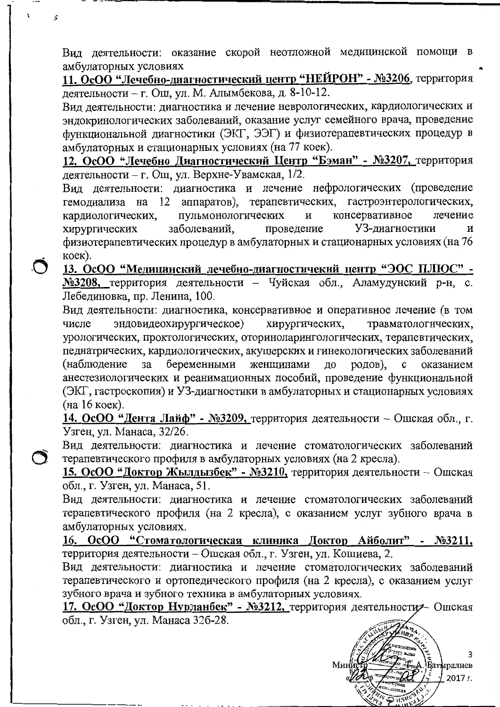Вид деятельности: оказание скорой неотложной медицинской помощи в амбулаторных условиях

11. ОсОО "Лечебно-диагностический центр "НЕЙРОН" - №3206, территория деятельности - г. Ош, ул. М. Алымбекова, д. 8-10-12.

Вид деятельности: диагностика и лечение неврологических, кардиологических и эндокринологических заболеваний, оказание услуг семейного врача, проведение функциональной диагностики (ЭКГ, ЭЭГ) и физиотерапевтических процедур в амбулаторных и стационарных условиях (на 77 коек).

12. ОсОО "Лечебно Диагностический Центр "Бэман" - №3207, территория деятельности - г. Ош, ул. Верхне-Увамская, 1/2.

Вид деятельности: диагностика и лечение нефрологических (проведение гемодиализа на 12 аппаратов), терапевтических, гастроэнтерологических, консервативное лечение пульмонологических  $\mathbf H$ кардиологических, заболеваний. УЗ-лиагностики хирургических проведение  $\overline{M}$ физиотерапевтических процедур в амбулаторных и стационарных условиях (на 76  $koe$  $k$ ).

13. ОсОО "Медицинский лечебно-диагностичекий центр "ЭОС ПЛЮС" -№3208, территория деятельности - Чуйская обл., Аламудунский р-н, с. Лебединовка, пр. Ленина, 100.

 $\tilde{\bm{\cap}}$ 

Вид деятельности: диагностика, консервативное и оперативное лечение (в том эндовидеохирургическое) хирургических, травматологических, числе урологических, проктологических, оториноларингологических, терапевтических, педиатрических, кардиологических, акушерских и гинекологических заболеваний (наблюдение беременными женщинами  $3a$ до родов), оказанием  $\mathbf c$ анестезиологических и реанимационных пособий, проведение функциональной (ЭКГ, гастроскопия) и УЗ-диагностики в амбулаторных и стационарных условиях (на 16 коек).

14. ОсОО "Дента Лайф" - №3209, территория деятельности – Ошская обл., г. Узген, ул. Манаса, 32/26.

Вид деятельности: диагностика и лечение стоматологических заболеваний терапевтического профиля в амбулаторных условиях (на 2 кресла).

15. ОсОО "Доктор Жылдызбек" - №3210, территория деятельности – Ошская обл., г. Узген, ул. Манаса, 51.

Вид деятельности: диагностика и лечение стоматологических заболеваний терапевтического профиля (на 2 кресла), с оказанием услуг зубного врача в амбулаторных условиях.

16. ОсОО "Стоматологическая клиника Доктор Айболит" - №3211, территория деятельности – Ошская обл., г. Узген, ул. Кошиева, 2.

Вид деятельности: диагностика и лечение стоматологических заболеваний терапевтического и ортопедического профиля (на 2 кресла), с оказанием услуг зубного врача и зубного техника в амбулаторных условиях.

17. ОсОО "Доктор Нурланбек" - №3212, территория деятельностия- Ошская обл., г. Узген, ул. Манаса 326-28.